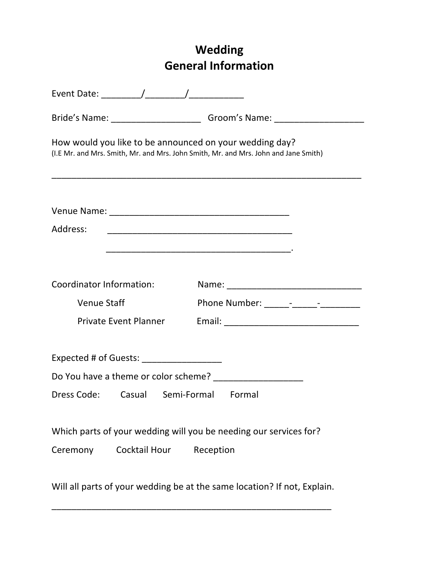# **Wedding General Information**

| Bride's Name: __________________________________Groom's Name: __________________                                                               |
|------------------------------------------------------------------------------------------------------------------------------------------------|
| How would you like to be announced on your wedding day?<br>(I.E Mr. and Mrs. Smith, Mr. and Mrs. John Smith, Mr. and Mrs. John and Jane Smith) |
|                                                                                                                                                |
| Address:                                                                                                                                       |
| Coordinator Information:                                                                                                                       |
| <b>Venue Staff</b>                                                                                                                             |
| <b>Private Event Planner</b>                                                                                                                   |
| Expected # of Guests: National Property of Australian Contractor                                                                               |
| Do You have a theme or color scheme?                                                                                                           |
| Dress Code: Casual Semi-Formal Formal                                                                                                          |
| Which parts of your wedding will you be needing our services for?                                                                              |
| Cocktail Hour<br>Ceremony<br>Reception                                                                                                         |
| Will all parts of your wedding be at the same location? If not, Explain.                                                                       |

\_\_\_\_\_\_\_\_\_\_\_\_\_\_\_\_\_\_\_\_\_\_\_\_\_\_\_\_\_\_\_\_\_\_\_\_\_\_\_\_\_\_\_\_\_\_\_\_\_\_\_\_\_\_\_\_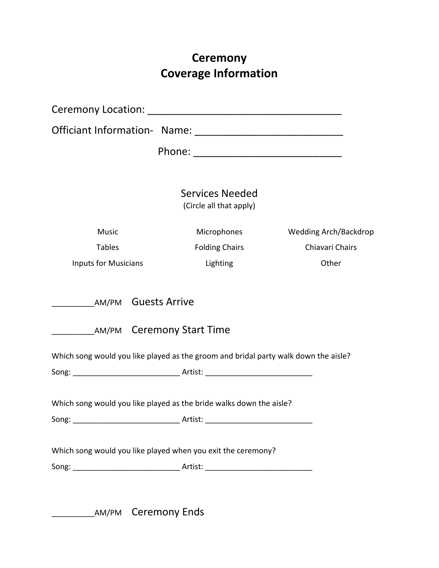# **Ceremony Coverage Information**

|                                                                                     | <b>Services Needed</b><br>(Circle all that apply) |                       |
|-------------------------------------------------------------------------------------|---------------------------------------------------|-----------------------|
| <b>Music</b>                                                                        | Microphones                                       | Wedding Arch/Backdrop |
| <b>Tables</b>                                                                       | <b>Folding Chairs</b>                             | Chiavari Chairs       |
| <b>Inputs for Musicians</b>                                                         | Lighting                                          | Other                 |
| __ AM/PM Ceremony Start Time                                                        |                                                   |                       |
| Which song would you like played as the groom and bridal party walk down the aisle? |                                                   |                       |
| Which song would you like played as the bride walks down the aisle?                 |                                                   |                       |
| Song:                                                                               | Artist:                                           |                       |
| Which song would you like played when you exit the ceremony?                        |                                                   |                       |
|                                                                                     |                                                   |                       |
|                                                                                     |                                                   |                       |

LAM/PM Ceremony Ends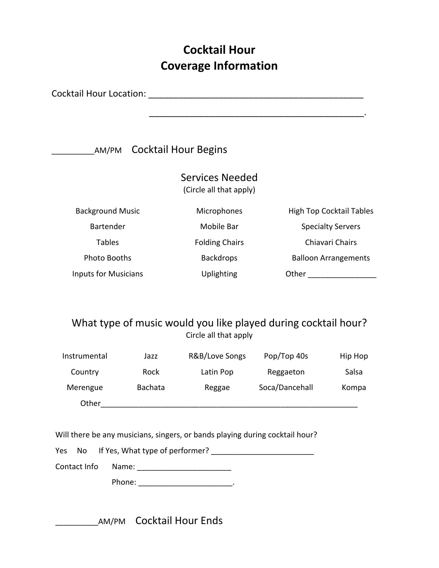## **Cocktail Hour Coverage Information**

Cocktail Hour Location: \_\_\_\_\_\_\_\_\_\_\_\_\_\_\_\_\_\_\_\_\_\_\_\_\_\_\_\_\_\_\_\_\_\_\_\_\_\_\_\_\_\_\_

**\_\_\_\_\_\_\_\_\_**\_\_AM/PM Cocktail Hour Begins

| <b>Services Needed</b>  |
|-------------------------|
| (Circle all that apply) |

| <b>Background Music</b>     | Microphones           | <b>High Top Cocktail Tables</b> |
|-----------------------------|-----------------------|---------------------------------|
| <b>Bartender</b>            | Mobile Bar            | <b>Specialty Servers</b>        |
| <b>Tables</b>               | <b>Folding Chairs</b> | Chiavari Chairs                 |
| Photo Booths                | <b>Backdrops</b>      | <b>Balloon Arrangements</b>     |
| <b>Inputs for Musicians</b> | Uplighting            | Other                           |

### What type of music would you like played during cocktail hour? Circle all that apply

| Instrumental | Jazz    | R&B/Love Songs | Pop/Top 40s    | Hip Hop |
|--------------|---------|----------------|----------------|---------|
| Country      | Rock    | Latin Pop      | Reggaeton      | Salsa   |
| Merengue     | Bachata | Reggae         | Soca/Dancehall | Kompa   |
| Other        |         |                |                |         |

Will there be any musicians, singers, or bands playing during cocktail hour?

|  |  | Yes No If Yes, What type of performer? |
|--|--|----------------------------------------|
|--|--|----------------------------------------|

Contact Info Name:

Phone: \_\_\_\_\_\_\_\_\_\_\_\_\_\_\_\_\_\_\_\_\_\_.

\_\_\_\_\_\_\_\_\_\_AM/PM Cocktail Hour Ends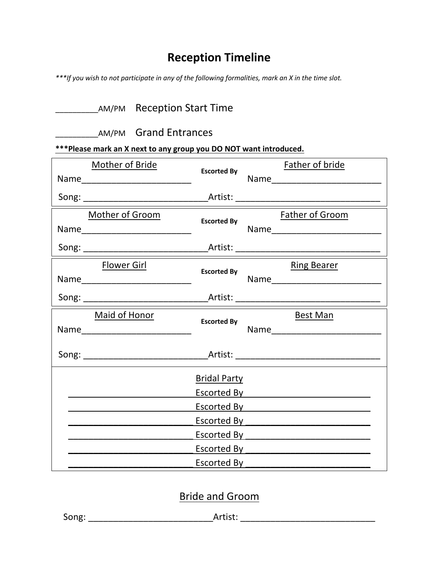## **Reception Timeline**

*\*\*\*If you wish to not participate in any of the following formalities, mark an X in the time slot.* 

|  | <b>AM/PM</b> Reception Start Time |
|--|-----------------------------------|
|--|-----------------------------------|

| AM/PM | <b>Grand Entrances</b> |
|-------|------------------------|
|-------|------------------------|

**\*\*\*Please mark an X next to any group you DO NOT want introduced.** 

| Mother of Bride                     | <b>Escorted By</b>  | Father of bride                                                                                                                                                                                                                |
|-------------------------------------|---------------------|--------------------------------------------------------------------------------------------------------------------------------------------------------------------------------------------------------------------------------|
|                                     |                     |                                                                                                                                                                                                                                |
|                                     |                     |                                                                                                                                                                                                                                |
| Mother of Groom                     | <b>Escorted By</b>  | <b>Father of Groom</b>                                                                                                                                                                                                         |
| Name______________________________  |                     |                                                                                                                                                                                                                                |
|                                     |                     |                                                                                                                                                                                                                                |
| <b>Flower Girl</b>                  | <b>Escorted By</b>  | <b>Ring Bearer</b>                                                                                                                                                                                                             |
|                                     |                     |                                                                                                                                                                                                                                |
|                                     |                     |                                                                                                                                                                                                                                |
| <b>Maid of Honor</b>                | <b>Escorted By</b>  | <b>Best Man</b>                                                                                                                                                                                                                |
| Name_______________________________ |                     |                                                                                                                                                                                                                                |
|                                     |                     |                                                                                                                                                                                                                                |
|                                     | <b>Bridal Party</b> |                                                                                                                                                                                                                                |
|                                     |                     | Escorted <u>By ___________________________</u>                                                                                                                                                                                 |
|                                     |                     | Escorted By Participation of the Contract of Tennes and Tennes and Tennes and Tennes and Tennes and Tennes and                                                                                                                 |
|                                     |                     | Escorted By Participation of the Contract of the Contract of the Contract of the Contract of the Contract of the Contract of the Contract of the Contract of the Contract of the Contract of the Contract of the Contract of t |
|                                     |                     | Escorted By Parameter Processor and Processor and Processor and Processor and Processor and Processor and Processor and Processor and Processor and Processor and Processor and Processor and Processor and Processor and Proc |
|                                     |                     | Escorted By Participation and Control Control of The Control Control Control Control Control Control Control Co                                                                                                                |
|                                     |                     | Escorted By <b>Example 20</b> Second By                                                                                                                                                                                        |

### Bride and Groom

| r<br>x. |  |
|---------|--|
|---------|--|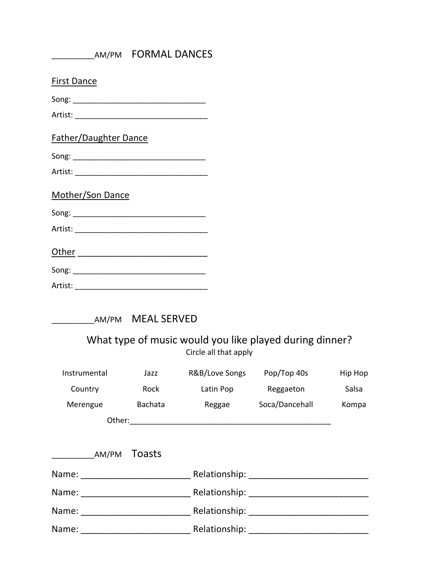|                                                                                                                                                                                                                                | AM/PM FORMAL DANCES |
|--------------------------------------------------------------------------------------------------------------------------------------------------------------------------------------------------------------------------------|---------------------|
| <b>First Dance</b>                                                                                                                                                                                                             |                     |
|                                                                                                                                                                                                                                |                     |
|                                                                                                                                                                                                                                |                     |
| Father/Daughter Dance                                                                                                                                                                                                          |                     |
| Song: the state of the state of the state of the state of the state of the state of the state of the state of the state of the state of the state of the state of the state of the state of the state of the state of the stat |                     |
| Artist:                                                                                                                                                                                                                        |                     |

#### Mother/Son Dance

| Song: |
|-------|
|       |

Artist: \_\_\_\_\_\_\_\_\_\_\_\_\_\_\_\_\_\_\_\_\_\_\_\_\_\_\_\_\_\_\_

Other \_\_\_\_\_\_\_\_\_\_\_\_\_\_\_\_\_\_\_\_\_\_\_\_\_\_

Song: \_\_\_\_\_\_\_\_\_\_\_\_\_\_\_\_\_\_\_\_\_\_\_\_\_\_\_\_\_\_\_

| Artist: |  |  |  |
|---------|--|--|--|
|         |  |  |  |

| AM/PM MEAL SERVED |
|-------------------|
|                   |

## What type of music would you like played during dinner? Circle all that apply

| Instrumental                                                                                                   | Jazz    | R&B/Love Songs | Pop/Top 40s                                                                                                                                                                                                                   | Hip Hop |
|----------------------------------------------------------------------------------------------------------------|---------|----------------|-------------------------------------------------------------------------------------------------------------------------------------------------------------------------------------------------------------------------------|---------|
| Country                                                                                                        | Rock    | Latin Pop      | Reggaeton                                                                                                                                                                                                                     | Salsa   |
| Merengue                                                                                                       | Bachata | Reggae         | Soca/Dancehall                                                                                                                                                                                                                | Kompa   |
|                                                                                                                |         |                |                                                                                                                                                                                                                               |         |
|                                                                                                                |         |                |                                                                                                                                                                                                                               |         |
| AM/PM                                                                                                          | Toasts  |                |                                                                                                                                                                                                                               |         |
| Name: ________________________                                                                                 |         |                | Relationship: The contract of the contract of the contract of the contract of the contract of the contract of the contract of the contract of the contract of the contract of the contract of the contract of the contract of |         |
| Name: ____________________                                                                                     |         |                | Relationship: The contract of the contract of the contract of the contract of the contract of the contract of the contract of the contract of the contract of the contract of the contract of the contract of the contract of |         |
| Name: when the contract of the contract of the contract of the contract of the contract of the contract of the |         |                |                                                                                                                                                                                                                               |         |
| Name:                                                                                                          |         | Relationship:  |                                                                                                                                                                                                                               |         |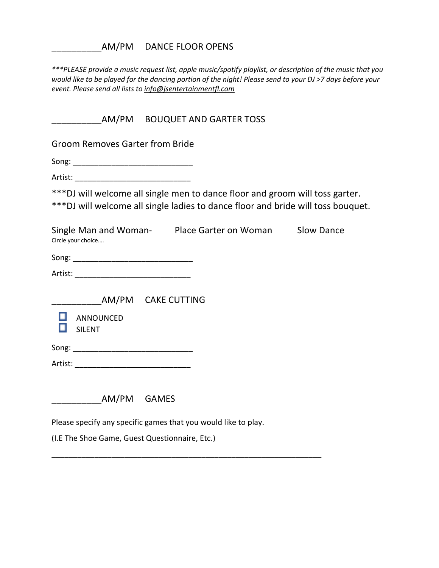AM/PM DANCE FLOOR OPENS

*\*\*\*PLEASE provide a music request list, apple music/spotify playlist, or description of the music that you would like to be played for the dancing portion of the night! Please send to your DJ >7 days before your event. Please send all lists to info@jsentertainmentfl.com*

\_\_\_\_\_\_\_\_\_\_AM/PM BOUQUET AND GARTER TOSS

Groom Removes Garter from Bride

Song: \_\_\_\_\_\_\_\_\_\_\_\_\_\_\_\_\_\_\_\_\_\_\_\_\_\_\_\_

Artist:

\*\*\*DJ will welcome all single men to dance floor and groom will toss garter. \*\*\*DJ will welcome all single ladies to dance floor and bride will toss bouquet.

Single Man and Woman- Place Garter on Woman Slow Dance Circle your choice….

| $S$ ong'<br>$-$ - $\cdot$ n $\cdot$ |  |  |  |
|-------------------------------------|--|--|--|
|                                     |  |  |  |

| Artist: |  |
|---------|--|
|         |  |

AM/PM CAKE CUTTING



Song: \_\_\_\_\_\_\_\_\_\_\_\_\_\_\_\_\_\_\_\_\_\_\_\_\_\_\_\_

Artist: \_\_\_\_\_\_\_\_\_\_\_\_\_\_\_\_\_\_\_\_\_\_\_\_\_\_\_

\_\_\_\_\_\_\_\_\_\_AM/PM GAMES

Please specify any specific games that you would like to play.

\_\_\_\_\_\_\_\_\_\_\_\_\_\_\_\_\_\_\_\_\_\_\_\_\_\_\_\_\_\_\_\_\_\_\_\_\_\_\_\_\_\_\_\_\_\_\_\_\_\_\_\_\_\_\_\_\_\_\_\_\_\_\_

(I.E The Shoe Game, Guest Questionnaire, Etc.)